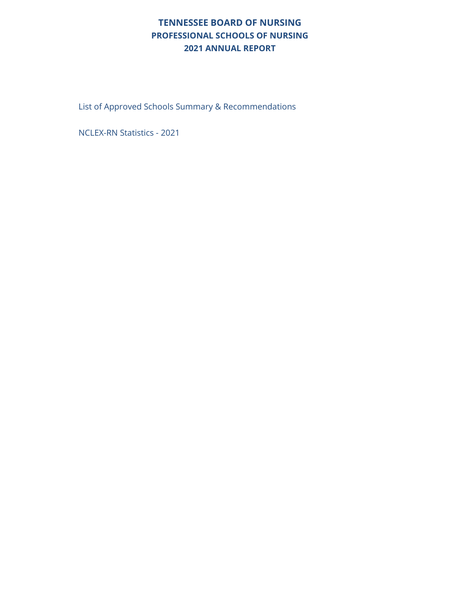#### **TENNESSEE BOARD OF NURSING PROFESSIONAL SCHOOLS OF NURSING 2021 ANNUAL REPORT**

List of Approved Schools Summary & Recommendations

NCLEX-RN Statistics - 2021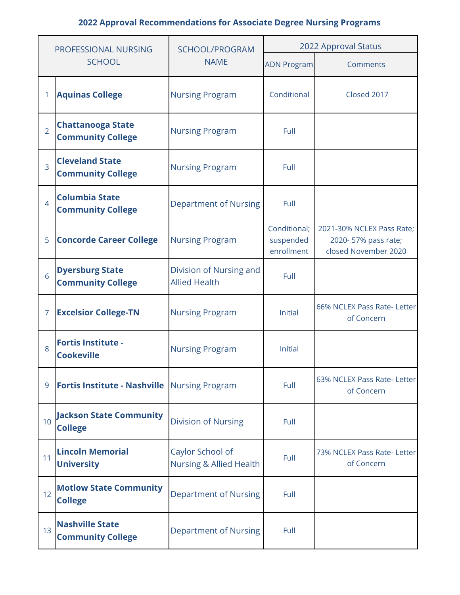| PROFESSIONAL NURSING |                                                       | SCHOOL/PROGRAM                                         | 2022 Approval Status                    |                                                                          |  |  |
|----------------------|-------------------------------------------------------|--------------------------------------------------------|-----------------------------------------|--------------------------------------------------------------------------|--|--|
|                      | <b>SCHOOL</b>                                         | <b>NAME</b>                                            | <b>ADN Program</b>                      | Comments                                                                 |  |  |
| 1                    | <b>Aquinas College</b>                                | <b>Nursing Program</b>                                 | Conditional                             | Closed 2017                                                              |  |  |
| $\overline{2}$       | <b>Chattanooga State</b><br><b>Community College</b>  | <b>Nursing Program</b>                                 | Full                                    |                                                                          |  |  |
| $\overline{3}$       | <b>Cleveland State</b><br><b>Community College</b>    | <b>Nursing Program</b>                                 | Full                                    |                                                                          |  |  |
| $\overline{4}$       | <b>Columbia State</b><br><b>Community College</b>     | <b>Department of Nursing</b>                           | Full                                    |                                                                          |  |  |
| 5                    | <b>Concorde Career College</b>                        | <b>Nursing Program</b>                                 | Conditional;<br>suspended<br>enrollment | 2021-30% NCLEX Pass Rate;<br>2020-57% pass rate;<br>closed November 2020 |  |  |
| 6                    | <b>Dyersburg State</b><br><b>Community College</b>    | Division of Nursing and<br><b>Allied Health</b>        | Full                                    |                                                                          |  |  |
| 7                    | <b>Excelsior College-TN</b>                           | <b>Nursing Program</b>                                 | <b>Initial</b>                          | 66% NCLEX Pass Rate- Letter<br>of Concern                                |  |  |
| 8                    | <b>Fortis Institute -</b><br><b>Cookeville</b>        | <b>Nursing Program</b>                                 | <b>Initial</b>                          |                                                                          |  |  |
| 9                    | <b>Fortis Institute - Nashville   Nursing Program</b> |                                                        | Full                                    | 63% NCLEX Pass Rate- Letter<br>of Concern                                |  |  |
| 10                   | <b>Jackson State Community</b><br><b>College</b>      | <b>Division of Nursing</b>                             | Full                                    |                                                                          |  |  |
| 11                   | <b>Lincoln Memorial</b><br><b>University</b>          | Caylor School of<br><b>Nursing &amp; Allied Health</b> | Full                                    | 73% NCLEX Pass Rate- Letter<br>of Concern                                |  |  |
| 12                   | <b>Motlow State Community</b><br><b>College</b>       | <b>Department of Nursing</b>                           | Full                                    |                                                                          |  |  |
| 13                   | <b>Nashville State</b><br><b>Community College</b>    | <b>Department of Nursing</b>                           | Full                                    |                                                                          |  |  |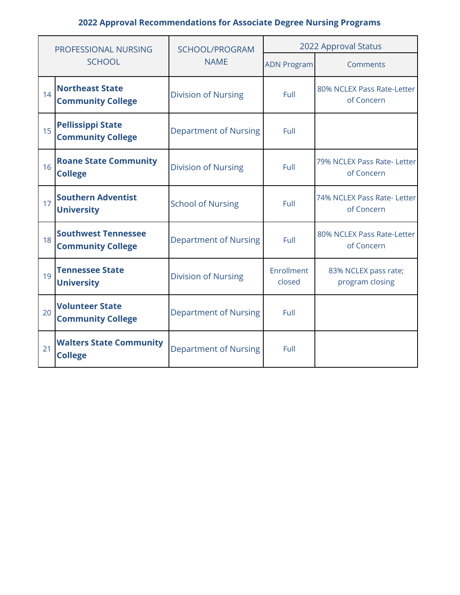|    | <b>PROFESSIONAL NURSING</b>                            | SCHOOL/PROGRAM               | 2022 Approval Status |                                           |  |  |
|----|--------------------------------------------------------|------------------------------|----------------------|-------------------------------------------|--|--|
|    | <b>SCHOOL</b>                                          | <b>NAME</b>                  | <b>ADN Program</b>   | Comments                                  |  |  |
| 14 | <b>Northeast State</b><br><b>Community College</b>     | <b>Division of Nursing</b>   | Full                 | 80% NCLEX Pass Rate-Letter<br>of Concern  |  |  |
| 15 | <b>Pellissippi State</b><br><b>Community College</b>   | <b>Department of Nursing</b> | Full                 |                                           |  |  |
| 16 | <b>Roane State Community</b><br><b>College</b>         | <b>Division of Nursing</b>   | Full                 | 79% NCLEX Pass Rate- Letter<br>of Concern |  |  |
| 17 | <b>Southern Adventist</b><br><b>University</b>         | <b>School of Nursing</b>     | Full                 | 74% NCLEX Pass Rate- Letter<br>of Concern |  |  |
| 18 | <b>Southwest Tennessee</b><br><b>Community College</b> | <b>Department of Nursing</b> | Full                 | 80% NCLEX Pass Rate-Letter<br>of Concern  |  |  |
| 19 | <b>Tennessee State</b><br><b>University</b>            | <b>Division of Nursing</b>   | Enrollment<br>closed | 83% NCLEX pass rate;<br>program closing   |  |  |
| 20 | <b>Volunteer State</b><br><b>Community College</b>     | <b>Department of Nursing</b> | Full                 |                                           |  |  |
| 21 | <b>Walters State Community</b><br><b>College</b>       | <b>Department of Nursing</b> | Full                 |                                           |  |  |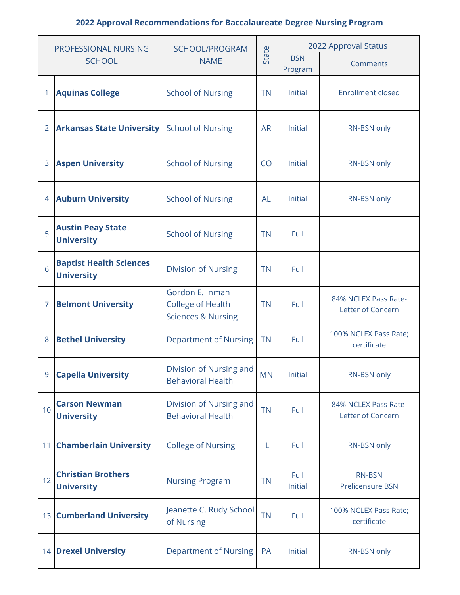| PROFESSIONAL NURSING |                                                     | SCHOOL/PROGRAM                                                               |           | 2022 Approval Status  |                                           |  |  |
|----------------------|-----------------------------------------------------|------------------------------------------------------------------------------|-----------|-----------------------|-------------------------------------------|--|--|
|                      | <b>SCHOOL</b>                                       | <b>NAME</b>                                                                  | State     | <b>BSN</b><br>Program | Comments                                  |  |  |
| 1                    | <b>Aquinas College</b>                              | <b>School of Nursing</b>                                                     | <b>TN</b> | Initial               | <b>Enrollment closed</b>                  |  |  |
| $\overline{2}$       | <b>Arkansas State University</b>                    | <b>School of Nursing</b>                                                     | <b>AR</b> | Initial               | RN-BSN only                               |  |  |
| 3                    | <b>Aspen University</b>                             | <b>School of Nursing</b>                                                     | CO        | Initial               | RN-BSN only                               |  |  |
| $\overline{4}$       | <b>Auburn University</b>                            | <b>School of Nursing</b>                                                     | <b>AL</b> | Initial               | RN-BSN only                               |  |  |
| 5                    | <b>Austin Peay State</b><br><b>University</b>       | <b>School of Nursing</b>                                                     | <b>TN</b> | Full                  |                                           |  |  |
| 6                    | <b>Baptist Health Sciences</b><br><b>University</b> | <b>Division of Nursing</b>                                                   | <b>TN</b> | Full                  |                                           |  |  |
| 7                    | <b>Belmont University</b>                           | Gordon E. Inman<br><b>College of Health</b><br><b>Sciences &amp; Nursing</b> | <b>TN</b> | Full                  | 84% NCLEX Pass Rate-<br>Letter of Concern |  |  |
| 8                    | <b>Bethel University</b>                            | <b>Department of Nursing</b>                                                 | <b>TN</b> | Full                  | 100% NCLEX Pass Rate;<br>certificate      |  |  |
| 9                    | <b>Capella University</b>                           | Division of Nursing and<br><b>Behavioral Health</b>                          | <b>MN</b> | Initial               | RN-BSN only                               |  |  |
| 10                   | <b>Carson Newman</b><br><b>University</b>           | Division of Nursing and<br><b>Behavioral Health</b>                          | <b>TN</b> | Full                  | 84% NCLEX Pass Rate-<br>Letter of Concern |  |  |
| 11                   | <b>Chamberlain University</b>                       | <b>College of Nursing</b>                                                    | IL        | Full                  | RN-BSN only                               |  |  |
| 12                   | <b>Christian Brothers</b><br><b>University</b>      | <b>Nursing Program</b>                                                       | <b>TN</b> | Full<br>Initial       | <b>RN-BSN</b><br>Prelicensure BSN         |  |  |
| 13                   | <b>Cumberland University</b>                        | Jeanette C. Rudy School<br>of Nursing                                        | <b>TN</b> | Full                  | 100% NCLEX Pass Rate;<br>certificate      |  |  |
|                      | <b>14 Drexel University</b>                         | <b>Department of Nursing</b>                                                 | PA        | Initial               | RN-BSN only                               |  |  |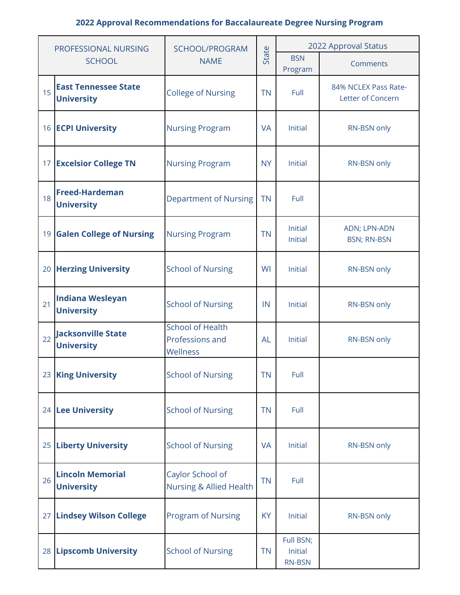| PROFESSIONAL NURSING |                                                  | SCHOOL/PROGRAM                                                      |           | 2022 Approval Status                  |                                           |  |  |
|----------------------|--------------------------------------------------|---------------------------------------------------------------------|-----------|---------------------------------------|-------------------------------------------|--|--|
|                      | <b>SCHOOL</b>                                    | <b>NAME</b>                                                         | State     | <b>BSN</b><br>Program                 | Comments                                  |  |  |
| 15                   | <b>East Tennessee State</b><br><b>University</b> | <b>College of Nursing</b>                                           | <b>TN</b> | Full                                  | 84% NCLEX Pass Rate-<br>Letter of Concern |  |  |
|                      | 16 <b>ECPI University</b>                        | <b>Nursing Program</b>                                              | <b>VA</b> | Initial                               | RN-BSN only                               |  |  |
|                      | 17 Excelsior College TN                          | <b>Nursing Program</b>                                              | <b>NY</b> | Initial                               | RN-BSN only                               |  |  |
| 18                   | <b>Freed-Hardeman</b><br><b>University</b>       | <b>Department of Nursing</b>                                        | <b>TN</b> | Full                                  |                                           |  |  |
|                      | 19 Galen College of Nursing                      | <b>Nursing Program</b>                                              | <b>TN</b> | Initial<br><b>Initial</b>             | ADN; LPN-ADN<br><b>BSN; RN-BSN</b>        |  |  |
|                      | 20 Herzing University                            | <b>School of Nursing</b>                                            | WI        | Initial                               | RN-BSN only                               |  |  |
| 21                   | <b>Indiana Wesleyan</b><br><b>University</b>     | <b>School of Nursing</b>                                            | IN        | Initial                               | RN-BSN only                               |  |  |
| 22                   | <b>Jacksonville State</b><br><b>University</b>   | <b>School of Health</b><br>Professions and<br>Wellness              | <b>AL</b> | Initial                               | RN-BSN only                               |  |  |
|                      | 23 King University                               | <b>School of Nursing</b>                                            | <b>TN</b> | Full                                  |                                           |  |  |
|                      | 24 Lee University                                | <b>School of Nursing</b>                                            | <b>TN</b> | Full                                  |                                           |  |  |
|                      | 25 Liberty University                            | <b>School of Nursing</b>                                            | <b>VA</b> | Initial                               | RN-BSN only                               |  |  |
| 26                   | <b>Lincoln Memorial</b><br><b>University</b>     | Caylor School of<br><b>TN</b><br><b>Nursing &amp; Allied Health</b> |           | Full                                  |                                           |  |  |
|                      | 27 Lindsey Wilson College                        | <b>Program of Nursing</b>                                           | <b>KY</b> | Initial                               | RN-BSN only                               |  |  |
|                      | 28 Lipscomb University                           | <b>School of Nursing</b>                                            | <b>TN</b> | Full BSN;<br>Initial<br><b>RN-BSN</b> |                                           |  |  |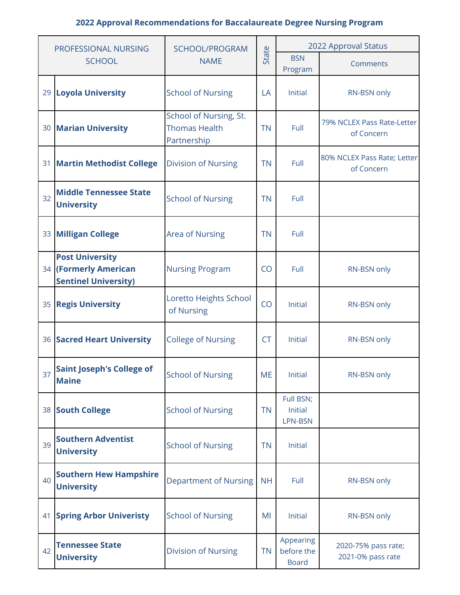| PROFESSIONAL NURSING |                                                                                | <b>SCHOOL/PROGRAM</b>                                         |           | 2022 Approval Status                    |                                           |  |  |
|----------------------|--------------------------------------------------------------------------------|---------------------------------------------------------------|-----------|-----------------------------------------|-------------------------------------------|--|--|
|                      | <b>SCHOOL</b>                                                                  | <b>NAME</b>                                                   | State     | <b>BSN</b><br>Program                   | Comments                                  |  |  |
|                      | 29 Loyola University                                                           | <b>School of Nursing</b>                                      | LA        | Initial                                 | RN-BSN only                               |  |  |
|                      | 30 Marian University                                                           | School of Nursing, St.<br><b>Thomas Health</b><br>Partnership | <b>TN</b> | Full                                    | 79% NCLEX Pass Rate-Letter<br>of Concern  |  |  |
| 31                   | <b>Martin Methodist College</b>                                                | <b>Division of Nursing</b>                                    | <b>TN</b> | Full                                    | 80% NCLEX Pass Rate; Letter<br>of Concern |  |  |
| 32                   | <b>Middle Tennessee State</b><br><b>University</b>                             | <b>School of Nursing</b>                                      | <b>TN</b> | Full                                    |                                           |  |  |
|                      | 33 Milligan College                                                            | <b>Area of Nursing</b>                                        | <b>TN</b> | Full                                    |                                           |  |  |
|                      | <b>Post University</b><br>34 (Formerly American<br><b>Sentinel University)</b> | <b>Nursing Program</b>                                        | CO        | Full                                    | RN-BSN only                               |  |  |
|                      | 35 Regis University                                                            | Loretto Heights School<br>of Nursing                          | CO        | Initial                                 | RN-BSN only                               |  |  |
|                      | <b>36 Sacred Heart University</b>                                              | <b>College of Nursing</b>                                     | <b>CT</b> | Initial                                 | RN-BSN only                               |  |  |
| 37                   | <b>Saint Joseph's College of</b><br><b>Maine</b>                               | <b>School of Nursing</b>                                      | <b>ME</b> | Initial                                 | RN-BSN only                               |  |  |
|                      | 38 South College                                                               | <b>School of Nursing</b>                                      | <b>TN</b> | Full BSN;<br>Initial<br>LPN-BSN         |                                           |  |  |
| 39                   | <b>Southern Adventist</b><br><b>University</b>                                 | <b>School of Nursing</b>                                      | <b>TN</b> | Initial                                 |                                           |  |  |
| 40                   | <b>Southern Hew Hampshire</b><br><b>University</b>                             | <b>Department of Nursing</b>                                  | <b>NH</b> | Full                                    | RN-BSN only                               |  |  |
| 41                   | <b>Spring Arbor Univeristy</b>                                                 | <b>School of Nursing</b>                                      | MI        | Initial                                 | RN-BSN only                               |  |  |
| 42                   | <b>Tennessee State</b><br><b>University</b>                                    | <b>Division of Nursing</b>                                    | <b>TN</b> | Appearing<br>before the<br><b>Board</b> | 2020-75% pass rate;<br>2021-0% pass rate  |  |  |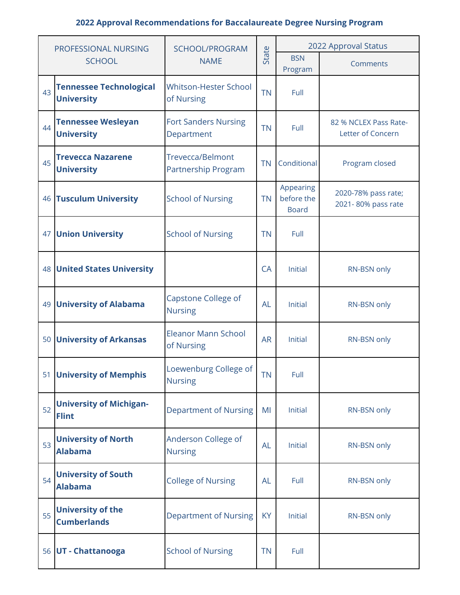| PROFESSIONAL NURSING |                                                     | SCHOOL/PROGRAM                                     |           | 2022 Approval Status                    |                                            |  |  |
|----------------------|-----------------------------------------------------|----------------------------------------------------|-----------|-----------------------------------------|--------------------------------------------|--|--|
|                      | <b>SCHOOL</b>                                       | State<br><b>NAME</b><br>Program                    |           | <b>BSN</b>                              | Comments                                   |  |  |
| 43                   | <b>Tennessee Technological</b><br><b>University</b> | <b>Whitson-Hester School</b><br>of Nursing         | <b>TN</b> | Full                                    |                                            |  |  |
| 44                   | <b>Tennessee Wesleyan</b><br><b>University</b>      | <b>Fort Sanders Nursing</b><br>Department          | <b>TN</b> | Full                                    | 82 % NCLEX Pass Rate-<br>Letter of Concern |  |  |
| 45                   | <b>Trevecca Nazarene</b><br><b>University</b>       | <b>Trevecca/Belmont</b><br>Partnership Program     | <b>TN</b> | Conditional                             | Program closed                             |  |  |
| 46                   | <b>Tusculum University</b>                          | <b>School of Nursing</b>                           | <b>TN</b> | Appearing<br>before the<br><b>Board</b> | 2020-78% pass rate;<br>2021-80% pass rate  |  |  |
| 47                   | <b>Union University</b>                             | <b>School of Nursing</b>                           | <b>TN</b> | Full                                    |                                            |  |  |
|                      | <b>48 United States University</b>                  |                                                    | CA        | Initial                                 | RN-BSN only                                |  |  |
|                      | 49 University of Alabama                            | Capstone College of<br><b>AL</b><br><b>Nursing</b> |           | Initial                                 | RN-BSN only                                |  |  |
| 50                   | <b>University of Arkansas</b>                       | <b>Eleanor Mann School</b><br>of Nursing           | <b>AR</b> | Initial                                 | RN-BSN only                                |  |  |
|                      | 51 University of Memphis                            | Loewenburg College of<br><b>Nursing</b>            | TN        | Full                                    |                                            |  |  |
| 52                   | <b>University of Michigan-</b><br><b>Flint</b>      | <b>Department of Nursing</b>                       | MI        | Initial                                 | RN-BSN only                                |  |  |
| 53                   | <b>University of North</b><br><b>Alabama</b>        | Anderson College of<br><b>Nursing</b>              | <b>AL</b> | Initial                                 | RN-BSN only                                |  |  |
| 54                   | <b>University of South</b><br><b>Alabama</b>        | <b>College of Nursing</b><br><b>AL</b>             |           | Full                                    | RN-BSN only                                |  |  |
| 55                   | <b>University of the</b><br><b>Cumberlands</b>      | <b>Department of Nursing</b>                       | <b>KY</b> | Initial                                 | RN-BSN only                                |  |  |
|                      | 56 UT - Chattanooga                                 | <b>School of Nursing</b>                           | <b>TN</b> | Full                                    |                                            |  |  |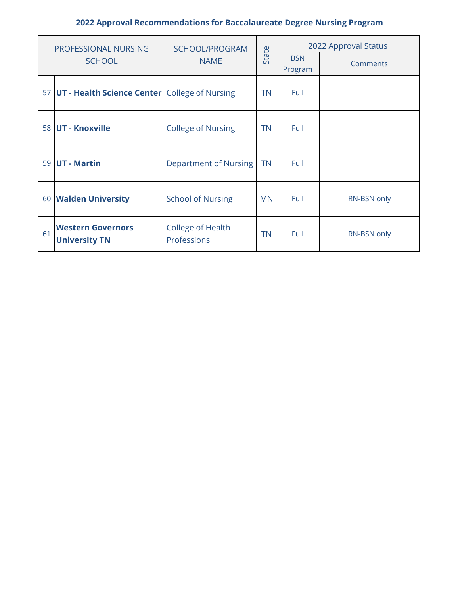| PROFESSIONAL NURSING |                                                  | SCHOOL/PROGRAM                          |           | 2022 Approval Status  |             |  |  |
|----------------------|--------------------------------------------------|-----------------------------------------|-----------|-----------------------|-------------|--|--|
|                      | <b>SCHOOL</b>                                    | <b>NAME</b>                             |           | <b>BSN</b><br>Program | Comments    |  |  |
|                      | 57 UT - Health Science Center College of Nursing |                                         | <b>TN</b> | Full                  |             |  |  |
|                      | 58 UT - Knoxville                                | <b>College of Nursing</b>               | <b>TN</b> | Full                  |             |  |  |
|                      | 59 UT - Martin                                   | Department of Nursing                   | <b>TN</b> | Full                  |             |  |  |
|                      | 60 Walden University                             | <b>School of Nursing</b>                | <b>MN</b> | Full                  | RN-BSN only |  |  |
| 61                   | <b>Western Governors</b><br><b>University TN</b> | <b>College of Health</b><br>Professions | <b>TN</b> | Full                  | RN-BSN only |  |  |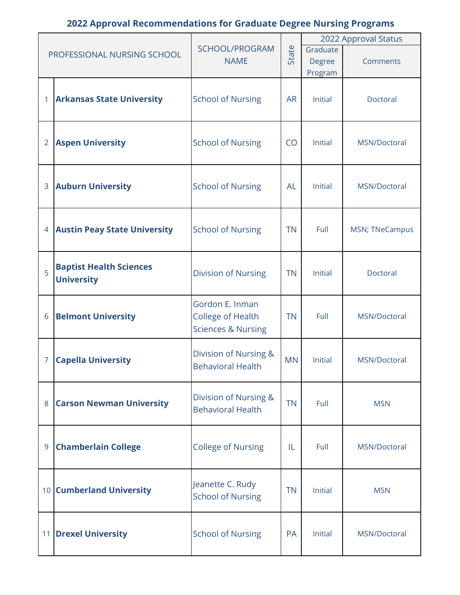|                |                                     |                                       |           |          | 2022 Approval Status  |
|----------------|-------------------------------------|---------------------------------------|-----------|----------|-----------------------|
|                | PROFESSIONAL NURSING SCHOOL         | SCHOOL/PROGRAM                        | State     | Graduate |                       |
|                |                                     | <b>NAME</b>                           |           | Degree   | Comments              |
|                |                                     |                                       |           | Program  |                       |
|                |                                     |                                       |           |          |                       |
|                | <b>Arkansas State University</b>    | <b>School of Nursing</b>              | <b>AR</b> | Initial  | Doctoral              |
|                |                                     |                                       |           |          |                       |
|                |                                     |                                       |           |          |                       |
| $\overline{2}$ | <b>Aspen University</b>             | <b>School of Nursing</b>              | CO        | Initial  | MSN/Doctoral          |
|                |                                     |                                       |           |          |                       |
|                |                                     |                                       |           |          |                       |
|                |                                     |                                       |           |          |                       |
| 3              | <b>Auburn University</b>            | <b>School of Nursing</b>              | <b>AL</b> | Initial  | MSN/Doctoral          |
|                |                                     |                                       |           |          |                       |
|                |                                     |                                       |           |          |                       |
| 4              | <b>Austin Peay State University</b> | <b>School of Nursing</b>              | <b>TN</b> | Full     | <b>MSN; TNeCampus</b> |
|                |                                     |                                       |           |          |                       |
|                |                                     |                                       |           |          |                       |
| 5              | <b>Baptist Health Sciences</b>      | <b>Division of Nursing</b>            | <b>TN</b> | Initial  | Doctoral              |
|                | <b>University</b>                   |                                       |           |          |                       |
|                |                                     |                                       |           |          |                       |
|                |                                     | Gordon E. Inman                       |           |          |                       |
| 6              | <b>Belmont University</b>           | <b>College of Health</b>              | <b>TN</b> | Full     | MSN/Doctoral          |
|                |                                     | <b>Sciences &amp; Nursing</b>         |           |          |                       |
|                |                                     | Division of Nursing &                 |           |          |                       |
| 7              | <b>Capella University</b>           | <b>Behavioral Health</b>              | <b>MN</b> | Initial  | MSN/Doctoral          |
|                |                                     |                                       |           |          |                       |
|                |                                     |                                       |           |          |                       |
| 8              | <b>Carson Newman University</b>     | Division of Nursing &                 | <b>TN</b> | Full     | <b>MSN</b>            |
|                |                                     | <b>Behavioral Health</b>              |           |          |                       |
|                |                                     |                                       |           |          |                       |
| 9              | <b>Chamberlain College</b>          | <b>College of Nursing</b>             | IL        | Full     | MSN/Doctoral          |
|                |                                     |                                       |           |          |                       |
|                |                                     |                                       |           |          |                       |
|                |                                     | Jeanette C. Rudy                      |           |          |                       |
|                | 10 Cumberland University            | <b>TN</b><br><b>School of Nursing</b> |           | Initial  | <b>MSN</b>            |
|                |                                     |                                       |           |          |                       |
|                |                                     |                                       |           |          |                       |
|                | 11 Drexel University                | <b>School of Nursing</b>              | PA        | Initial  | MSN/Doctoral          |
|                |                                     |                                       |           |          |                       |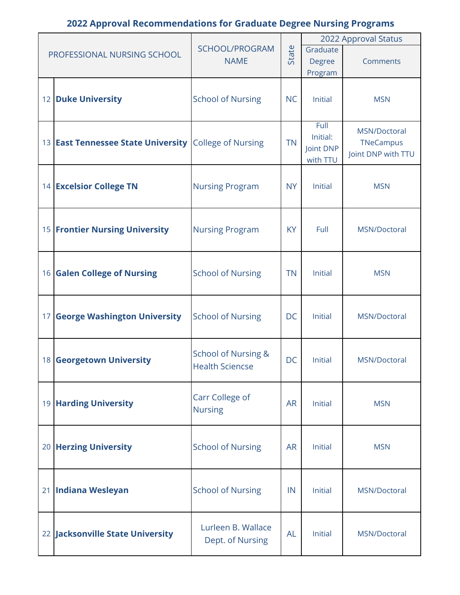|                                                              |                          |           |                | 2022 Approval Status |
|--------------------------------------------------------------|--------------------------|-----------|----------------|----------------------|
| PROFESSIONAL NURSING SCHOOL                                  | SCHOOL/PROGRAM           | State     | Graduate       |                      |
|                                                              | <b>NAME</b>              |           | <b>Degree</b>  | Comments             |
|                                                              |                          |           | Program        |                      |
|                                                              |                          |           |                |                      |
| 12 Duke University                                           | <b>School of Nursing</b> | <b>NC</b> | Initial        | <b>MSN</b>           |
|                                                              |                          |           |                |                      |
|                                                              |                          |           | Full           | MSN/Doctoral         |
| 13 <b>East Tennessee State University</b> College of Nursing |                          | <b>TN</b> | Initial:       | TNeCampus            |
|                                                              |                          |           | Joint DNP      | Joint DNP with TTU   |
|                                                              |                          |           | with TTU       |                      |
| 14 Excelsior College TN                                      | <b>Nursing Program</b>   | <b>NY</b> | Initial        | <b>MSN</b>           |
|                                                              |                          |           |                |                      |
|                                                              |                          |           |                |                      |
|                                                              |                          |           |                |                      |
| <b>15 Frontier Nursing University</b>                        | <b>Nursing Program</b>   | <b>KY</b> | Full           | MSN/Doctoral         |
|                                                              |                          |           |                |                      |
|                                                              |                          |           |                |                      |
| 16 Galen College of Nursing                                  | <b>School of Nursing</b> | <b>TN</b> | Initial        | <b>MSN</b>           |
|                                                              |                          |           |                |                      |
|                                                              |                          |           |                |                      |
| 17 George Washington University                              | <b>School of Nursing</b> | <b>DC</b> | Initial        | MSN/Doctoral         |
|                                                              |                          |           |                |                      |
|                                                              |                          |           |                |                      |
| 18 Georgetown University                                     | School of Nursing &      | DC        | Initial        | MSN/Doctoral         |
|                                                              | <b>Health Sciencse</b>   |           |                |                      |
|                                                              |                          |           |                |                      |
| <b>19 Harding University</b>                                 | Carr College of          | <b>AR</b> | Initial        | <b>MSN</b>           |
|                                                              | <b>Nursing</b>           |           |                |                      |
|                                                              |                          |           |                |                      |
| 20 Herzing University                                        |                          | <b>AR</b> | Initial        | <b>MSN</b>           |
|                                                              | <b>School of Nursing</b> |           |                |                      |
|                                                              |                          |           |                |                      |
|                                                              |                          |           |                |                      |
| 21 Indiana Wesleyan                                          | <b>School of Nursing</b> | IN        | <b>Initial</b> | MSN/Doctoral         |
|                                                              |                          |           |                |                      |
|                                                              | Lurleen B. Wallace       |           |                |                      |
| 22 Jacksonville State University                             | Dept. of Nursing         | <b>AL</b> | <b>Initial</b> | MSN/Doctoral         |
|                                                              |                          |           |                |                      |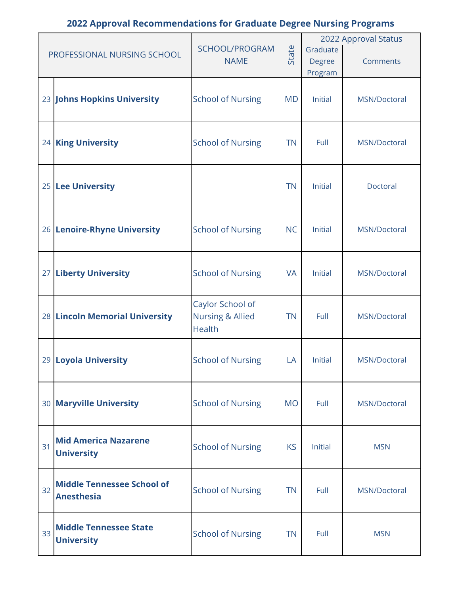|    |                                   |                                              |           | 2022 Approval Status |              |  |
|----|-----------------------------------|----------------------------------------------|-----------|----------------------|--------------|--|
|    | PROFESSIONAL NURSING SCHOOL       | SCHOOL/PROGRAM                               | State     | Graduate             |              |  |
|    |                                   | <b>NAME</b>                                  |           | Degree               | Comments     |  |
|    |                                   |                                              |           | Program              |              |  |
|    |                                   |                                              |           |                      |              |  |
|    | 23 Johns Hopkins University       | <b>School of Nursing</b>                     | <b>MD</b> | Initial              | MSN/Doctoral |  |
|    |                                   |                                              |           |                      |              |  |
|    |                                   |                                              |           |                      |              |  |
|    | 24 King University                | <b>School of Nursing</b>                     | <b>TN</b> | Full                 | MSN/Doctoral |  |
|    |                                   |                                              |           |                      |              |  |
|    |                                   |                                              |           |                      |              |  |
|    | 25 Lee University                 |                                              | <b>TN</b> | <b>Initial</b>       | Doctoral     |  |
|    |                                   |                                              |           |                      |              |  |
|    |                                   |                                              |           |                      |              |  |
|    | 26 Lenoire-Rhyne University       | <b>School of Nursing</b>                     | <b>NC</b> | Initial              | MSN/Doctoral |  |
|    |                                   |                                              |           |                      |              |  |
|    |                                   |                                              |           |                      |              |  |
|    | 27 Liberty University             | <b>School of Nursing</b>                     | <b>VA</b> | Initial              | MSN/Doctoral |  |
|    |                                   |                                              |           |                      |              |  |
|    |                                   |                                              |           |                      |              |  |
|    |                                   | Caylor School of                             |           | Full                 |              |  |
|    | 28 Lincoln Memorial University    | <b>Nursing &amp; Allied</b><br><b>Health</b> | <b>TN</b> |                      | MSN/Doctoral |  |
|    |                                   |                                              |           |                      |              |  |
|    |                                   |                                              |           |                      |              |  |
|    | 29 Loyola University              | <b>School of Nursing</b>                     | LA        | Initial              | MSN/Doctoral |  |
|    |                                   |                                              |           |                      |              |  |
|    |                                   |                                              |           |                      |              |  |
|    | 30 Maryville University           | <b>School of Nursing</b>                     | <b>MO</b> | Full                 | MSN/Doctoral |  |
|    |                                   |                                              |           |                      |              |  |
|    | <b>Mid America Nazarene</b>       |                                              |           |                      |              |  |
| 31 | <b>University</b>                 | <b>School of Nursing</b>                     | <b>KS</b> | <b>Initial</b>       | <b>MSN</b>   |  |
|    |                                   |                                              |           |                      |              |  |
|    | <b>Middle Tennessee School of</b> |                                              |           |                      |              |  |
| 32 | <b>Anesthesia</b>                 | <b>School of Nursing</b>                     | <b>TN</b> | Full                 | MSN/Doctoral |  |
|    |                                   |                                              |           |                      |              |  |
|    |                                   |                                              |           |                      |              |  |
| 33 | <b>Middle Tennessee State</b>     | <b>School of Nursing</b>                     | <b>TN</b> | Full                 | <b>MSN</b>   |  |
|    | <b>University</b>                 |                                              |           |                      |              |  |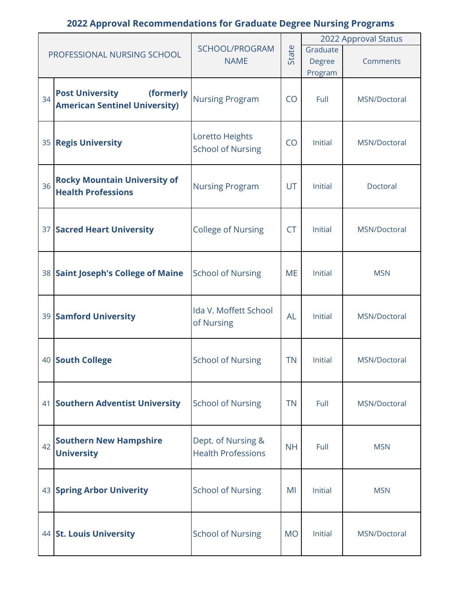|    |                                      |                           |           |                | 2022 Approval Status |
|----|--------------------------------------|---------------------------|-----------|----------------|----------------------|
|    | PROFESSIONAL NURSING SCHOOL          | SCHOOL/PROGRAM            | State     | Graduate       |                      |
|    |                                      | <b>NAME</b>               |           | Degree         | Comments             |
|    |                                      |                           |           | Program        |                      |
|    |                                      |                           |           |                |                      |
| 34 | <b>Post University</b><br>(formerly  | <b>Nursing Program</b>    | CO        | Full           | MSN/Doctoral         |
|    | <b>American Sentinel University)</b> |                           |           |                |                      |
|    |                                      |                           |           |                |                      |
|    | 35 Regis University                  | Loretto Heights           | CO        | Initial        | MSN/Doctoral         |
|    |                                      | <b>School of Nursing</b>  |           |                |                      |
|    |                                      |                           |           |                |                      |
|    | <b>Rocky Mountain University of</b>  |                           |           |                |                      |
| 36 | <b>Health Professions</b>            | <b>Nursing Program</b>    | <b>UT</b> | Initial        | Doctoral             |
|    |                                      |                           |           |                |                      |
|    |                                      |                           |           |                |                      |
|    | 37 Sacred Heart University           | <b>College of Nursing</b> | <b>CT</b> | <b>Initial</b> | MSN/Doctoral         |
|    |                                      |                           |           |                |                      |
|    |                                      |                           |           |                |                      |
|    | 38 Saint Joseph's College of Maine   | <b>School of Nursing</b>  | <b>ME</b> | Initial        | <b>MSN</b>           |
|    |                                      |                           |           |                |                      |
|    |                                      | Ida V. Moffett School     |           |                |                      |
|    | <b>39 Samford University</b>         | of Nursing                | <b>AL</b> | Initial        | MSN/Doctoral         |
|    |                                      |                           |           |                |                      |
|    |                                      |                           |           |                |                      |
|    | 40 South College                     | <b>School of Nursing</b>  | <b>TN</b> | Initial        | MSN/Doctoral         |
|    |                                      |                           |           |                |                      |
|    |                                      |                           |           |                |                      |
|    | 41 Southern Adventist University     | <b>School of Nursing</b>  | <b>TN</b> | Full           | MSN/Doctoral         |
|    |                                      |                           |           |                |                      |
|    |                                      |                           |           |                |                      |
| 42 | <b>Southern New Hampshire</b>        | Dept. of Nursing &        | <b>NH</b> | Full           | <b>MSN</b>           |
|    | <b>University</b>                    | <b>Health Professions</b> |           |                |                      |
|    |                                      |                           |           |                |                      |
|    | 43 Spring Arbor Univerity            | <b>School of Nursing</b>  | MI        | Initial        | <b>MSN</b>           |
|    |                                      |                           |           |                |                      |
|    |                                      |                           |           |                |                      |
|    | 44 St. Louis University              | <b>School of Nursing</b>  | <b>MO</b> | Initial        | MSN/Doctoral         |
|    |                                      |                           |           |                |                      |
|    |                                      |                           |           |                |                      |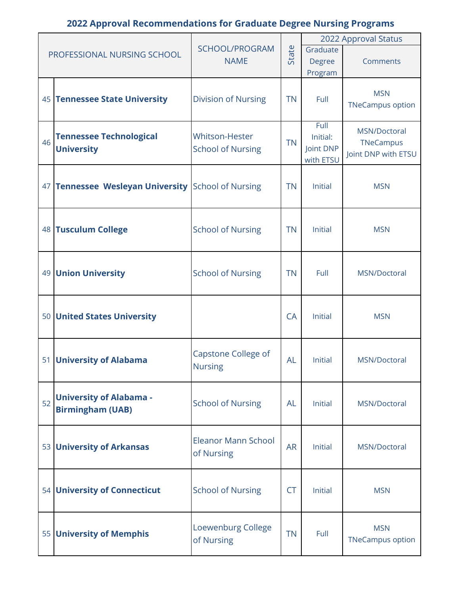|    |                                                           |                                            |           | 2022 Approval Status                       |                                                  |  |
|----|-----------------------------------------------------------|--------------------------------------------|-----------|--------------------------------------------|--------------------------------------------------|--|
|    | PROFESSIONAL NURSING SCHOOL                               | SCHOOL/PROGRAM<br><b>NAME</b>              | State     | Graduate<br><b>Degree</b><br>Program       | Comments                                         |  |
|    | 45 Tennessee State University                             | <b>Division of Nursing</b>                 | <b>TN</b> | Full                                       | <b>MSN</b><br><b>TNeCampus option</b>            |  |
| 46 | <b>Tennessee Technological</b><br><b>University</b>       | Whitson-Hester<br><b>School of Nursing</b> | <b>TN</b> | Full<br>Initial:<br>Joint DNP<br>with ETSU | MSN/Doctoral<br>TNeCampus<br>Joint DNP with ETSU |  |
|    | 47 <b>Tennessee Wesleyan University</b> School of Nursing |                                            | <b>TN</b> | Initial                                    | <b>MSN</b>                                       |  |
|    | 48 Tusculum College                                       | <b>School of Nursing</b>                   | <b>TN</b> | <b>Initial</b>                             | <b>MSN</b>                                       |  |
|    | 49 Union University                                       | <b>School of Nursing</b>                   | <b>TN</b> | Full                                       | MSN/Doctoral                                     |  |
|    | 50 United States University                               |                                            | <b>CA</b> | Initial                                    | <b>MSN</b>                                       |  |
|    | 51 University of Alabama                                  | Capstone College of<br><b>Nursing</b>      | <b>AL</b> | <b>Initial</b>                             | MSN/Doctoral                                     |  |
| 52 | <b>University of Alabama -</b><br><b>Birmingham (UAB)</b> | <b>School of Nursing</b>                   | AL        | Initial                                    | MSN/Doctoral                                     |  |
|    | 53 University of Arkansas                                 | <b>Eleanor Mann School</b><br>of Nursing   | <b>AR</b> | Initial                                    | MSN/Doctoral                                     |  |
|    | 54 University of Connecticut                              | <b>School of Nursing</b>                   | <b>CT</b> | Initial                                    | <b>MSN</b>                                       |  |
|    | 55 University of Memphis                                  | Loewenburg College<br>of Nursing           | <b>TN</b> | Full                                       | <b>MSN</b><br><b>TNeCampus option</b>            |  |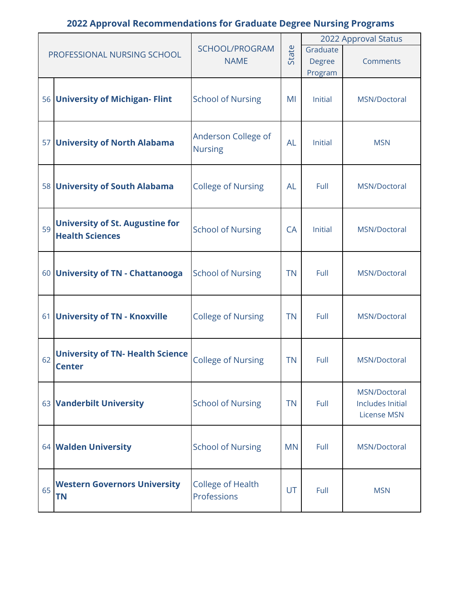| PROFESSIONAL NURSING SCHOOL |                                                  |                                         |           | 2022 Approval Status |                         |  |  |  |
|-----------------------------|--------------------------------------------------|-----------------------------------------|-----------|----------------------|-------------------------|--|--|--|
|                             |                                                  | SCHOOL/PROGRAM<br><b>NAME</b>           | State     | Graduate             | Comments                |  |  |  |
|                             |                                                  |                                         |           | Degree<br>Program    |                         |  |  |  |
|                             |                                                  |                                         |           |                      |                         |  |  |  |
|                             | 56 University of Michigan- Flint                 | <b>School of Nursing</b>                | MI        | Initial              | MSN/Doctoral            |  |  |  |
|                             |                                                  |                                         |           |                      |                         |  |  |  |
|                             | 57 University of North Alabama                   | Anderson College of                     | <b>AL</b> | Initial              | <b>MSN</b>              |  |  |  |
|                             |                                                  | <b>Nursing</b>                          |           |                      |                         |  |  |  |
|                             |                                                  |                                         |           |                      |                         |  |  |  |
|                             | 58 University of South Alabama                   | <b>College of Nursing</b>               | <b>AL</b> | Full                 | MSN/Doctoral            |  |  |  |
|                             |                                                  |                                         |           |                      |                         |  |  |  |
| 59                          | <b>University of St. Augustine for</b>           | <b>School of Nursing</b>                | <b>CA</b> | Initial              | MSN/Doctoral            |  |  |  |
|                             | <b>Health Sciences</b>                           |                                         |           |                      |                         |  |  |  |
|                             |                                                  |                                         |           |                      | MSN/Doctoral            |  |  |  |
|                             | 60 University of TN - Chattanooga                | <b>School of Nursing</b>                | <b>TN</b> | Full                 |                         |  |  |  |
|                             |                                                  |                                         |           |                      |                         |  |  |  |
|                             | 61 University of TN - Knoxville                  | <b>College of Nursing</b>               | <b>TN</b> | Full                 | MSN/Doctoral            |  |  |  |
|                             |                                                  |                                         |           |                      |                         |  |  |  |
|                             | <b>University of TN- Health Science</b>          |                                         |           |                      | MSN/Doctoral            |  |  |  |
| 62                          | <b>Center</b>                                    | <b>College of Nursing</b>               | <b>TN</b> | Full                 |                         |  |  |  |
|                             |                                                  |                                         |           |                      | MSN/Doctoral            |  |  |  |
|                             | 63 Vanderbilt University                         | <b>School of Nursing</b>                | <b>TN</b> | Full                 | <b>Includes Initial</b> |  |  |  |
|                             |                                                  |                                         |           |                      | <b>License MSN</b>      |  |  |  |
|                             |                                                  |                                         |           |                      |                         |  |  |  |
|                             | 64 Walden University                             | <b>School of Nursing</b>                | <b>MN</b> | Full                 | MSN/Doctoral            |  |  |  |
|                             |                                                  |                                         |           |                      |                         |  |  |  |
| 65                          | <b>Western Governors University</b><br><b>TN</b> | <b>College of Health</b><br>Professions | UT        | Full                 | <b>MSN</b>              |  |  |  |
|                             |                                                  |                                         |           |                      |                         |  |  |  |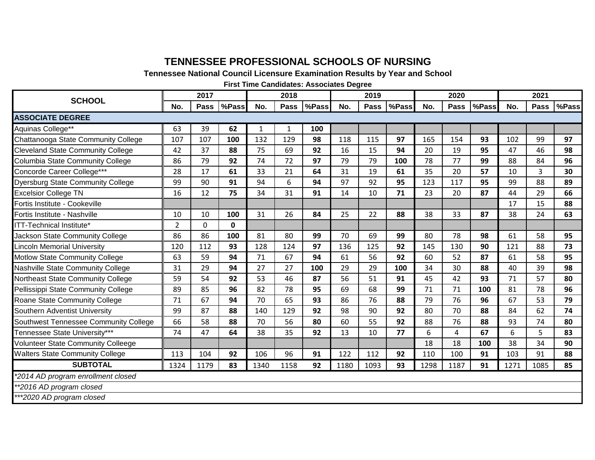#### **TENNESSEE PROFESSIONAL SCHOOLS OF NURSING**

**Tennessee National Council Licensure Examination Results by Year and School**

**First Time Candidates: Associates Degree**

| <b>SCHOOL</b>                             | 2017           |              |       | 2018         |      |       | 2019 |             |       | 2020 |             |       | 2021 |                |       |
|-------------------------------------------|----------------|--------------|-------|--------------|------|-------|------|-------------|-------|------|-------------|-------|------|----------------|-------|
|                                           |                | <b>Pass</b>  | %Pass | No.          | Pass | %Pass | No.  | <b>Pass</b> | %Pass | No.  | <b>Pass</b> | %Pass | No.  | <b>Pass</b>    | %Pass |
| <b>ASSOCIATE DEGREE</b>                   |                |              |       |              |      |       |      |             |       |      |             |       |      |                |       |
| Aquinas College**                         | 63             | 39           | 62    | $\mathbf{1}$ | 1    | 100   |      |             |       |      |             |       |      |                |       |
| Chattanooga State Community College       | 107            | 107          | 100   | 132          | 129  | 98    | 118  | 115         | 97    | 165  | 154         | 93    | 102  | 99             | 97    |
| <b>Cleveland State Community College</b>  | 42             | 37           | 88    | 75           | 69   | 92    | 16   | 15          | 94    | 20   | 19          | 95    | 47   | 46             | 98    |
| Columbia State Community College          | 86             | 79           | 92    | 74           | 72   | 97    | 79   | 79          | 100   | 78   | 77          | 99    | 88   | 84             | 96    |
| Concorde Career College***                | 28             | 17           | 61    | 33           | 21   | 64    | 31   | 19          | 61    | 35   | 20          | 57    | 10   | $\overline{3}$ | 30    |
| <b>Dyersburg State Community College</b>  | 99             | 90           | 91    | 94           | 6    | 94    | 97   | 92          | 95    | 123  | 117         | 95    | 99   | 88             | 89    |
| <b>Excelsior College TN</b>               | 16             | 12           | 75    | 34           | 31   | 91    | 14   | 10          | 71    | 23   | 20          | 87    | 44   | 29             | 66    |
| Fortis Institute - Cookeville             |                |              |       |              |      |       |      |             |       |      |             |       | 17   | 15             | 88    |
| Fortis Institute - Nashville              | 10             | 10           | 100   | 31           | 26   | 84    | 25   | 22          | 88    | 38   | 33          | 87    | 38   | 24             | 63    |
| ITT-Technical Institute*                  | $\overline{2}$ | $\mathbf{0}$ | 0     |              |      |       |      |             |       |      |             |       |      |                |       |
| Jackson State Community College           | 86             | 86           | 100   | 81           | 80   | 99    | 70   | 69          | 99    | 80   | 78          | 98    | 61   | 58             | 95    |
| <b>Lincoln Memorial University</b>        | 120            | 112          | 93    | 128          | 124  | 97    | 136  | 125         | 92    | 145  | 130         | 90    | 121  | 88             | 73    |
| <b>Motlow State Community College</b>     | 63             | 59           | 94    | 71           | 67   | 94    | 61   | 56          | 92    | 60   | 52          | 87    | 61   | 58             | 95    |
| Nashville State Community College         | 31             | 29           | 94    | 27           | 27   | 100   | 29   | 29          | 100   | 34   | 30          | 88    | 40   | 39             | 98    |
| Northeast State Community College         | 59             | 54           | 92    | 53           | 46   | 87    | 56   | 51          | 91    | 45   | 42          | 93    | 71   | 57             | 80    |
| Pellissippi State Community College       | 89             | 85           | 96    | 82           | 78   | 95    | 69   | 68          | 99    | 71   | 71          | 100   | 81   | 78             | 96    |
| Roane State Community College             | 71             | 67           | 94    | 70           | 65   | 93    | 86   | 76          | 88    | 79   | 76          | 96    | 67   | 53             | 79    |
| Southern Adventist University             | 99             | 87           | 88    | 140          | 129  | 92    | 98   | 90          | 92    | 80   | 70          | 88    | 84   | 62             | 74    |
| Southwest Tennessee Community College     | 66             | 58           | 88    | 70           | 56   | 80    | 60   | 55          | 92    | 88   | 76          | 88    | 93   | 74             | 80    |
| Tennessee State University***             | 74             | 47           | 64    | 38           | 35   | 92    | 13   | 10          | 77    | 6    | 4           | 67    | 6    | 5              | 83    |
| <b>Volunteer State Community Colleege</b> |                |              |       |              |      |       |      |             |       | 18   | 18          | 100   | 38   | 34             | 90    |
| <b>Walters State Community College</b>    | 113            | 104          | 92    | 106          | 96   | 91    | 122  | 112         | 92    | 110  | 100         | 91    | 103  | 91             | 88    |
| <b>SUBTOTAL</b>                           | 1324           | 1179         | 83    | 1340         | 1158 | 92    | 1180 | 1093        | 93    | 1298 | 1187        | 91    | 1271 | 1085           | 85    |
| *2014 AD program enrollment closed        |                |              |       |              |      |       |      |             |       |      |             |       |      |                |       |
| **2016 AD program closed                  |                |              |       |              |      |       |      |             |       |      |             |       |      |                |       |
| ***2020 AD program closed                 |                |              |       |              |      |       |      |             |       |      |             |       |      |                |       |